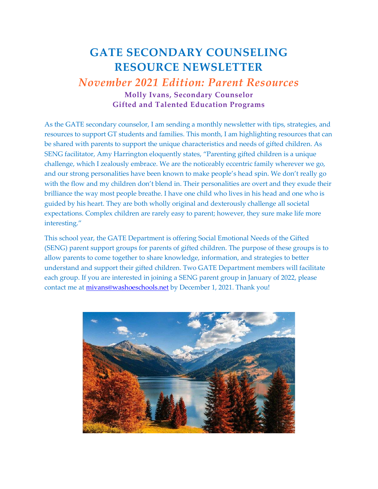## **GATE SECONDARY COUNSELING RESOURCE NEWSLETTER**

## *November 2021 Edition: Parent Resources* **Molly Ivans, Secondary Counselor Gifted and Talented Education Programs**

As the GATE secondary counselor, I am sending a monthly newsletter with tips, strategies, and resources to support GT students and families. This month, I am highlighting resources that can be shared with parents to support the unique characteristics and needs of gifted children. As SENG facilitator, Amy Harrington eloquently states, "Parenting gifted children is a unique challenge, which I zealously embrace. We are the noticeably eccentric family wherever we go, and our strong personalities have been known to make people's head spin. We don't really go with the flow and my children don't blend in. Their personalities are overt and they exude their brilliance the way most people breathe. I have one child who lives in his head and one who is guided by his heart. They are both wholly original and dexterously challenge all societal expectations. Complex children are rarely easy to parent; however, they sure make life more interesting."

This school year, the GATE Department is offering Social Emotional Needs of the Gifted (SENG) parent support groups for parents of gifted children. The purpose of these groups is to allow parents to come together to share knowledge, information, and strategies to better understand and support their gifted children. Two GATE Department members will facilitate each group. If you are interested in joining a SENG parent group in January of 2022, please contact me at **mivans@washoeschools.net** by December 1, 2021. Thank you!